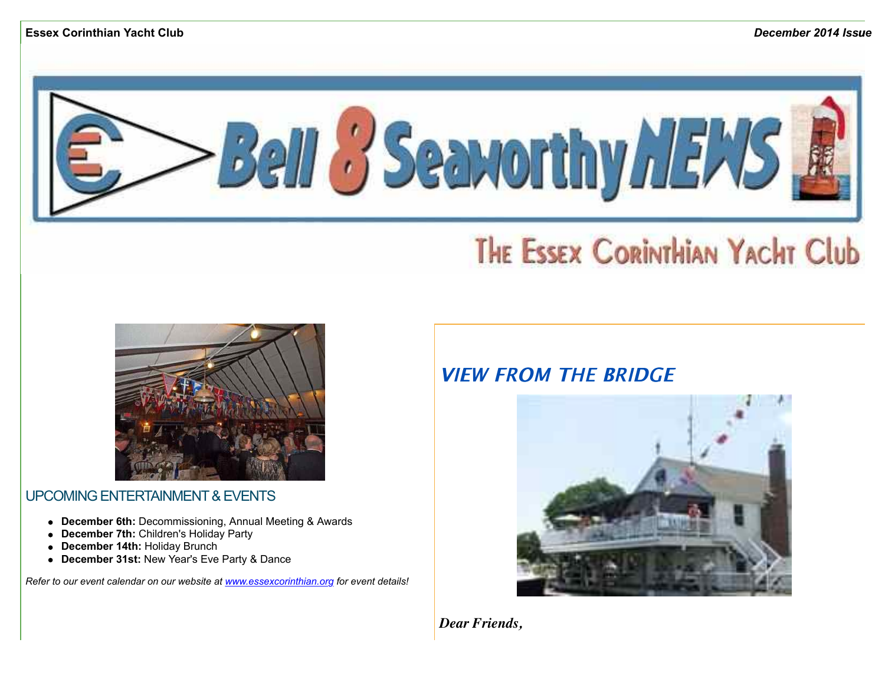

# THE ESSEX CORINTHIAN YACHT Club



UPCOMING ENTERTAINMENT & EVENTS

- **December 6th:** Decommissioning, Annual Meeting & Awards
- **December 7th:** Children's Holiday Party
- **December 14th:** Holiday Brunch  $\bullet$
- **December 31st:** New Year's Eve Party & Dance  $\bullet$

*Refer to our event calendar on our website at [www.essexcorinthian.org](http://r20.rs6.net/tn.jsp?e=001Cfe13RSlgjkYWmUazdFKAlURKTANx8ahcpPICTlS1rMQ6lR9-tipInxqtcASJZ0kc7CInXWCcVrexyatVSRLLrNUchEnRvnBvScuEvyXozDcI3cnPFu_PQ==) for event details!*

# **VIFW FROM THE BRIDGE**



*Dear Friends,*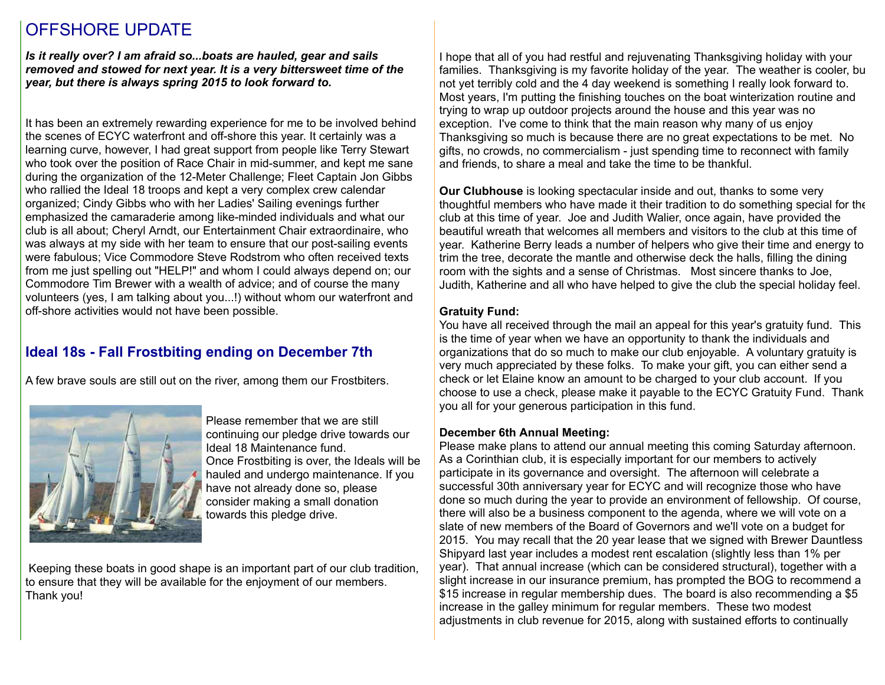## OFFSHORE UPDATE

*Is it really over? I am afraid so...boats are hauled, gear and sails removed and stowed for next year. It is a very bittersweet time of the year, but there is always spring 2015 to look forward to.*

It has been an extremely rewarding experience for me to be involved behind the scenes of ECYC waterfront and off-shore this year. It certainly was a learning curve, however, I had great support from people like Terry Stewart who took over the position of Race Chair in mid-summer, and kept me sane during the organization of the 12-Meter Challenge; Fleet Captain Jon Gibbs who rallied the Ideal 18 troops and kept a very complex crew calendar organized; Cindy Gibbs who with her Ladies' Sailing evenings further emphasized the camaraderie among like-minded individuals and what our club is all about; Cheryl Arndt, our Entertainment Chair extraordinaire, who was always at my side with her team to ensure that our post-sailing events were fabulous; Vice Commodore Steve Rodstrom who often received texts from me just spelling out "HELP!" and whom I could always depend on; our Commodore Tim Brewer with a wealth of advice; and of course the many volunteers (yes, I am talking about you...!) without whom our waterfront and off-shore activities would not have been possible.

## **Ideal 18s - Fall Frostbiting ending on December 7th**

A few brave souls are still out on the river, among them our Frostbiters.



Please remember that we are still continuing our pledge drive towards our Ideal 18 Maintenance fund. Once Frostbiting is over, the Ideals will be hauled and undergo maintenance. If you have not already done so, please consider making a small donation towards this pledge drive.

 Keeping these boats in good shape is an important part of our club tradition, to ensure that they will be available for the enjoyment of our members. Thank you!

I hope that all of you had restful and rejuvenating Thanksgiving holiday with your families. Thanksgiving is my favorite holiday of the year. The weather is cooler, but not yet terribly cold and the 4 day weekend is something I really look forward to. Most years, I'm putting the finishing touches on the boat winterization routine and trying to wrap up outdoor projects around the house and this year was no exception. I've come to think that the main reason why many of us enjoy Thanksgiving so much is because there are no great expectations to be met. No gifts, no crowds, no commercialism - just spending time to reconnect with family and friends, to share a meal and take the time to be thankful.

**Our Clubhouse** is looking spectacular inside and out, thanks to some very thoughtful members who have made it their tradition to do something special for the club at this time of year. Joe and Judith Walier, once again, have provided the beautiful wreath that welcomes all members and visitors to the club at this time of year. Katherine Berry leads a number of helpers who give their time and energy to trim the tree, decorate the mantle and otherwise deck the halls, filling the dining room with the sights and a sense of Christmas. Most sincere thanks to Joe, Judith, Katherine and all who have helped to give the club the special holiday feel.

#### **Gratuity Fund:**

You have all received through the mail an appeal for this year's gratuity fund. This is the time of year when we have an opportunity to thank the individuals and organizations that do so much to make our club enjoyable. A voluntary gratuity is very much appreciated by these folks. To make your gift, you can either send a check or let Elaine know an amount to be charged to your club account. If you choose to use a check, please make it payable to the ECYC Gratuity Fund. Thank you all for your generous participation in this fund.

#### **December 6th Annual Meeting:**

Please make plans to attend our annual meeting this coming Saturday afternoon. As a Corinthian club, it is especially important for our members to actively participate in its governance and oversight. The afternoon will celebrate a successful 30th anniversary year for ECYC and will recognize those who have done so much during the year to provide an environment of fellowship. Of course, there will also be a business component to the agenda, where we will vote on a slate of new members of the Board of Governors and we'll vote on a budget for 2015. You may recall that the 20 year lease that we signed with Brewer Dauntless Shipyard last year includes a modest rent escalation (slightly less than 1% per year). That annual increase (which can be considered structural), together with a slight increase in our insurance premium, has prompted the BOG to recommend a \$15 increase in regular membership dues. The board is also recommending a \$5 increase in the galley minimum for regular members. These two modest adjustments in club revenue for 2015, along with sustained efforts to continually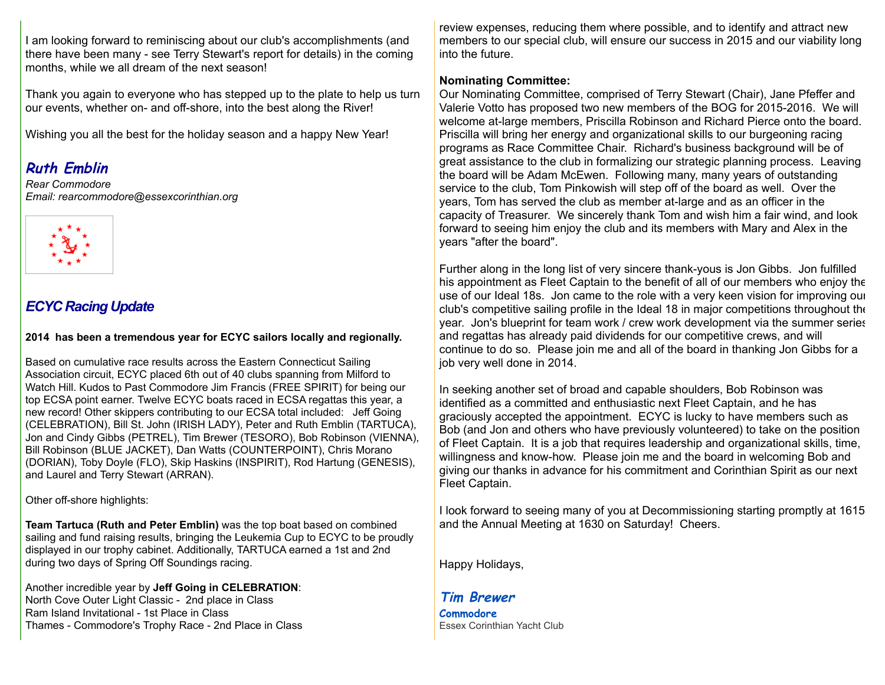I am looking forward to reminiscing about our club's accomplishments (and there have been many - see Terry Stewart's report for details) in the coming months, while we all dream of the next season!

Thank you again to everyone who has stepped up to the plate to help us turn our events, whether on- and off-shore, into the best along the River!

Wishing you all the best for the holiday season and a happy New Year!

## **Ruth Emblin**

*Rear Commodore Email: rearcommodore@essexcorinthian.org*



## *ECYC Racing Update*

**2014 has been a tremendous year for ECYC sailors locally and regionally.**

Based on cumulative race results across the Eastern Connecticut Sailing Association circuit, ECYC placed 6th out of 40 clubs spanning from Milford to Watch Hill. Kudos to Past Commodore Jim Francis (FREE SPIRIT) for being our top ECSA point earner. Twelve ECYC boats raced in ECSA regattas this year, a new record! Other skippers contributing to our ECSA total included: Jeff Going (CELEBRATION), Bill St. John (IRISH LADY), Peter and Ruth Emblin (TARTUCA), Jon and Cindy Gibbs (PETREL), Tim Brewer (TESORO), Bob Robinson (VIENNA), Bill Robinson (BLUE JACKET), Dan Watts (COUNTERPOINT), Chris Morano (DORIAN), Toby Doyle (FLO), Skip Haskins (INSPIRIT), Rod Hartung (GENESIS), and Laurel and Terry Stewart (ARRAN).

Other off-shore highlights:

**Team Tartuca (Ruth and Peter Emblin)** was the top boat based on combined sailing and fund raising results, bringing the Leukemia Cup to ECYC to be proudly displayed in our trophy cabinet. Additionally, TARTUCA earned a 1st and 2nd during two days of Spring Off Soundings racing.

Another incredible year by **Jeff Going in CELEBRATION**: North Cove Outer Light Classic - 2nd place in Class Ram Island Invitational - 1st Place in Class Thames - Commodore's Trophy Race - 2nd Place in Class

review expenses, reducing them where possible, and to identify and attract new members to our special club, will ensure our success in 2015 and our viability long into the future.

#### **Nominating Committee:**

Our Nominating Committee, comprised of Terry Stewart (Chair), Jane Pfeffer and Valerie Votto has proposed two new members of the BOG for 2015-2016. We will welcome at-large members, Priscilla Robinson and Richard Pierce onto the board. Priscilla will bring her energy and organizational skills to our burgeoning racing programs as Race Committee Chair. Richard's business background will be of great assistance to the club in formalizing our strategic planning process. Leaving the board will be Adam McEwen. Following many, many years of outstanding service to the club, Tom Pinkowish will step off of the board as well. Over the years, Tom has served the club as member at-large and as an officer in the capacity of Treasurer. We sincerely thank Tom and wish him a fair wind, and look forward to seeing him enjoy the club and its members with Mary and Alex in the years "after the board".

Further along in the long list of very sincere thank-yous is Jon Gibbs. Jon fulfilled his appointment as Fleet Captain to the benefit of all of our members who enjoy the use of our Ideal 18s. Jon came to the role with a very keen vision for improving our club's competitive sailing profile in the Ideal 18 in major competitions throughout the year. Jon's blueprint for team work / crew work development via the summer series and regattas has already paid dividends for our competitive crews, and will continue to do so. Please join me and all of the board in thanking Jon Gibbs for a job very well done in 2014.

In seeking another set of broad and capable shoulders, Bob Robinson was identified as a committed and enthusiastic next Fleet Captain, and he has graciously accepted the appointment. ECYC is lucky to have members such as Bob (and Jon and others who have previously volunteered) to take on the position of Fleet Captain. It is a job that requires leadership and organizational skills, time, willingness and know-how. Please join me and the board in welcoming Bob and giving our thanks in advance for his commitment and Corinthian Spirit as our next Fleet Captain.

I look forward to seeing many of you at Decommissioning starting promptly at 1615 and the Annual Meeting at 1630 on Saturday! Cheers.

Happy Holidays,

**Tim Brewer Commodore** Essex Corinthian Yacht Club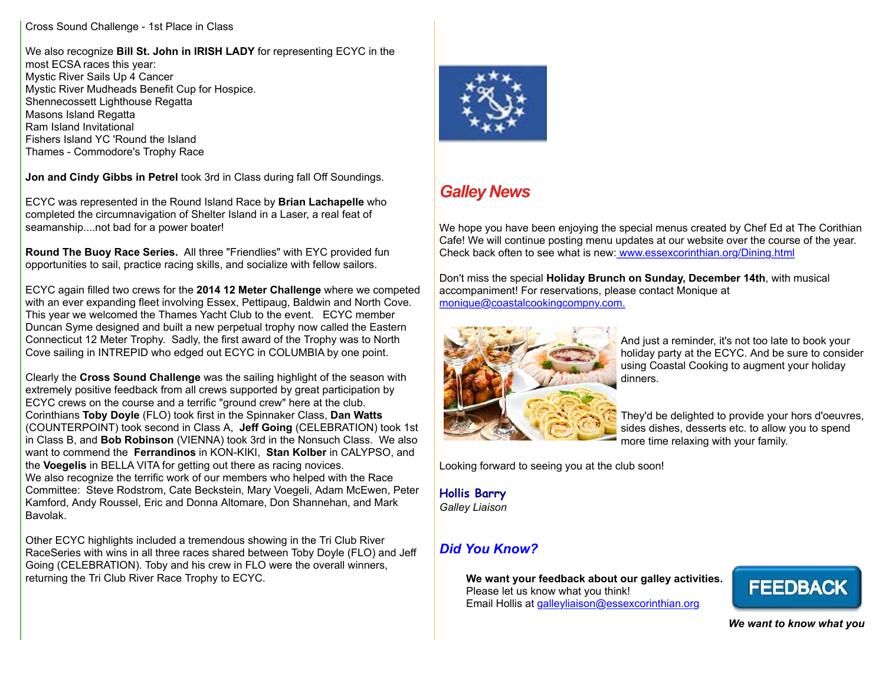#### Cross Sound Challenge - 1st Place in Class

We also recognize **Bill St. John in IRISH LADY** for representing ECYC in the most ECSA races this year: Mystic River Sails Up 4 Cancer Mystic River Mudheads Benefit Cup for Hospice. Shennecossett Lighthouse Regatta Masons Island Regatta Ram Island Invitational Fishers Island YC 'Round the Island Thames - Commodore's Trophy Race

**Jon and Cindy Gibbs in Petrel** took 3rd in Class during fall Off Soundings.

ECYC was represented in the Round Island Race by **Brian Lachapelle** who completed the circumnavigation of Shelter Island in a Laser, a real feat of seamanship....not bad for a power boater!

**Round The Buoy Race Series.** All three "Friendlies" with EYC provided fun opportunities to sail, practice racing skills, and socialize with fellow sailors.

ECYC again filled two crews for the **2014 12 Meter Challenge** where we competed with an ever expanding fleet involving Essex, Pettipaug, Baldwin and North Cove. This year we welcomed the Thames Yacht Club to the event. ECYC member Duncan Syme designed and built a new perpetual trophy now called the Eastern Connecticut 12 Meter Trophy. Sadly, the first award of the Trophy was to North Cove sailing in INTREPID who edged out ECYC in COLUMBIA by one point.

Clearly the **Cross Sound Challenge** was the sailing highlight of the season with extremely positive feedback from all crews supported by great participation by ECYC crews on the course and a terrific "ground crew" here at the club. Corinthians **Toby Doyle** (FLO) took first in the Spinnaker Class, **Dan Watts** (COUNTERPOINT) took second in Class A, **Jeff Going** (CELEBRATION) took 1st in Class B, and **Bob Robinson** (VIENNA) took 3rd in the Nonsuch Class. We also want to commend the **Ferrandinos** in KON-KIKI, **Stan Kolber** in CALYPSO, and the **Voegelis** in BELLA VITA for getting out there as racing novices. We also recognize the terrific work of our members who helped with the Race Committee: Steve Rodstrom, Cate Beckstein, Mary Voegeli, Adam McEwen, Peter Kamford, Andy Roussel, Eric and Donna Altomare, Don Shannehan, and Mark Bavolak.

Other ECYC highlights included a tremendous showing in the Tri Club River RaceSeries with wins in all three races shared between Toby Doyle (FLO) and Jeff Going (CELEBRATION). Toby and his crew in FLO were the overall winners, returning the Tri Club River Race Trophy to ECYC.



# *Galley News*

We hope you have been enjoying the special menus created by Chef Ed at The Corithian Cafe! We will continue posting menu updates at our website over the course of the year. Check back often to see what is new: [www.essexcorinthian.org/Dining.html](http://r20.rs6.net/tn.jsp?e=001Cfe13RSlgjkYWmUazdFKAlURKTANx8ahcpPICTlS1rMQ6lR9-tipInxqtcASJZ0kc7CInXWCcVrexyatVSRLLrNUchEnRvnBvScuEvyXozCkFjO4UgjErXR5fdjaBkyC)

Don't miss the special **Holiday Brunch on Sunday, December 14th**, with musical accompaniment! For reservations, please contact Monique at [monique@coastalcookingcompny.com.](mailto:monique@coastalcookingcompny.com)



And just a reminder, it's not too late to book your holiday party at the ECYC. And be sure to consider using Coastal Cooking to augment your holiday dinners.

They'd be delighted to provide your hors d'oeuvres, sides dishes, desserts etc. to allow you to spend more time relaxing with your family.

Looking forward to seeing you at the club soon!

#### **Hollis Barry** *Galley Liaison*

## *Did You Know?*

**We want your feedback about our galley activities.** Please let us know what you think! Email Hollis at [galleyliaison@essexcorinthian.org](mailto:galleyliaison@essexcorinthian.org)



*We want to know what you*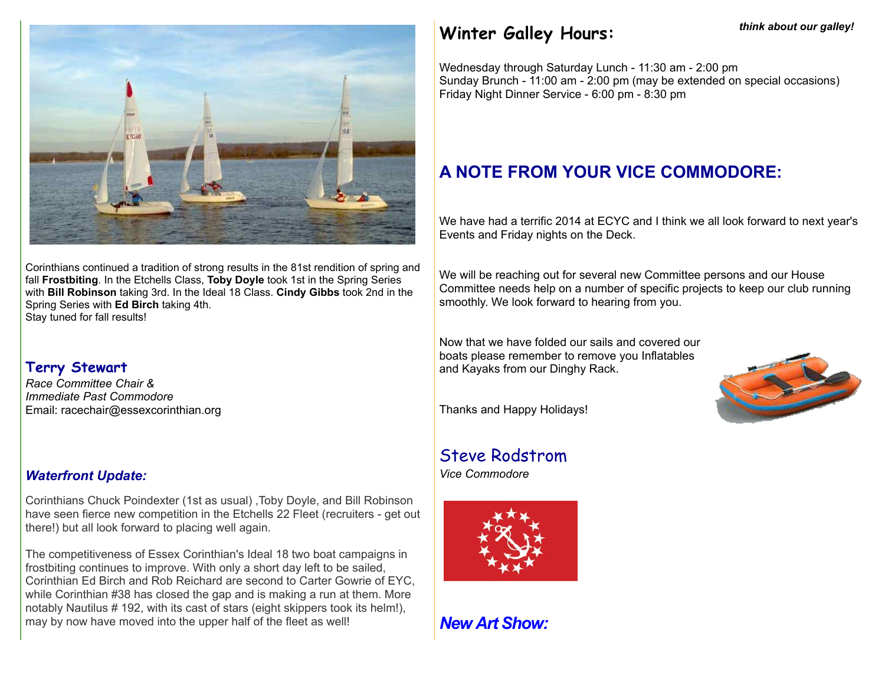

Corinthians continued a tradition of strong results in the 81st rendition of spring and fall **Frostbiting**. In the Etchells Class, **Toby Doyle** took 1st in the Spring Series with **Bill Robinson** taking 3rd. In the Ideal 18 Class. **Cindy Gibbs** took 2nd in the Spring Series with **Ed Birch** taking 4th. Stay tuned for fall results!

#### **Terry Stewart**

*Race Committee Chair & Immediate Past Commodore* Email: racechair@essexcorinthian.org

#### *Waterfront Update:*

Corinthians Chuck Poindexter (1st as usual) ,Toby Doyle, and Bill Robinson have seen fierce new competition in the Etchells 22 Fleet (recruiters - get out there!) but all look forward to placing well again.

The competitiveness of Essex Corinthian's Ideal 18 two boat campaigns in frostbiting continues to improve. With only a short day left to be sailed, Corinthian Ed Birch and Rob Reichard are second to Carter Gowrie of EYC, while Corinthian #38 has closed the gap and is making a run at them. More notably Nautilus # 192, with its cast of stars (eight skippers took its helm!), may by now have moved into the upper half of the fleet as well!

# **Winter Galley Hours:**

Wednesday through Saturday Lunch - 11:30 am - 2:00 pm Sunday Brunch - 11:00 am - 2:00 pm (may be extended on special occasions) Friday Night Dinner Service - 6:00 pm - 8:30 pm

# **A NOTE FROM YOUR VICE COMMODORE:**

We have had a terrific 2014 at ECYC and I think we all look forward to next year's Events and Friday nights on the Deck.

We will be reaching out for several new Committee persons and our House Committee needs help on a number of specific projects to keep our club running smoothly. We look forward to hearing from you.

Now that we have folded our sails and covered our boats please remember to remove you Inflatables and Kayaks from our Dinghy Rack.



Thanks and Happy Holidays!

# Steve Rodstrom

*Vice Commodore*



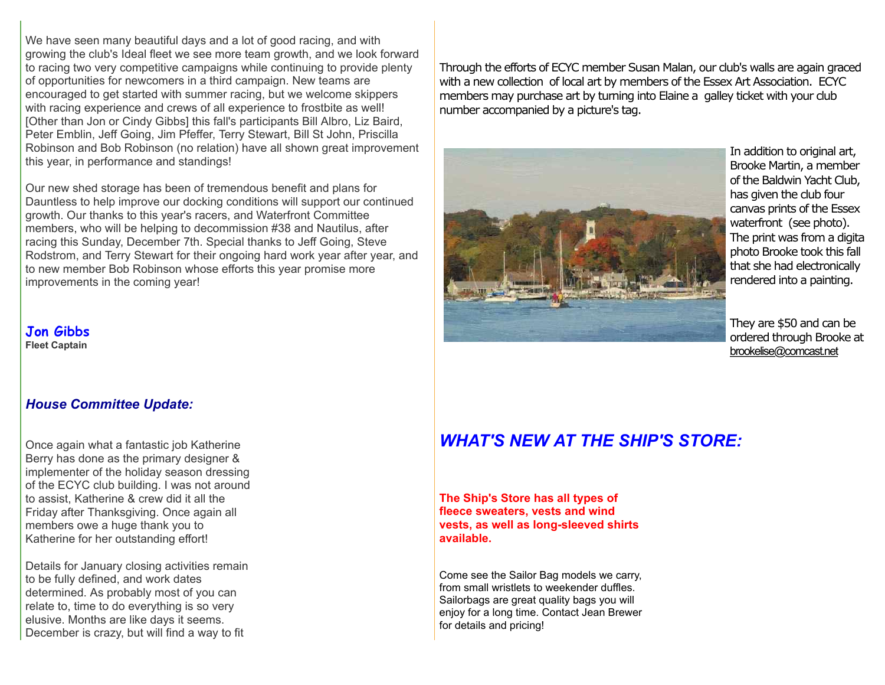We have seen many beautiful days and a lot of good racing, and with growing the club's Ideal fleet we see more team growth, and we look forward to racing two very competitive campaigns while continuing to provide plenty of opportunities for newcomers in a third campaign. New teams are encouraged to get started with summer racing, but we welcome skippers with racing experience and crews of all experience to frostbite as well! [Other than Jon or Cindy Gibbs] this fall's participants Bill Albro, Liz Baird, Peter Emblin, Jeff Going, Jim Pfeffer, Terry Stewart, Bill St John, Priscilla Robinson and Bob Robinson (no relation) have all shown great improvement this year, in performance and standings!

Our new shed storage has been of tremendous benefit and plans for Dauntless to help improve our docking conditions will support our continued growth. Our thanks to this year's racers, and Waterfront Committee members, who will be helping to decommission #38 and Nautilus, after racing this Sunday, December 7th. Special thanks to Jeff Going, Steve Rodstrom, and Terry Stewart for their ongoing hard work year after year, and to new member Bob Robinson whose efforts this year promise more improvements in the coming year!

**Jon Gibbs Fleet Captain**

#### *House Committee Update:*

Once again what a fantastic job Katherine Berry has done as the primary designer & implementer of the holiday season dressing of the ECYC club building. I was not around to assist, Katherine & crew did it all the Friday after Thanksgiving. Once again all members owe a huge thank you to Katherine for her outstanding effort!

Details for January closing activities remain to be fully defined, and work dates determined. As probably most of you can relate to, time to do everything is so very elusive. Months are like days it seems. December is crazy, but will find a way to fit

Through the efforts of ECYC member Susan Malan, our club's walls are again graced with a new collection of local art by members of the Essex Art Association. ECYC members may purchase art by turning into Elaine a galley ticket with your club number accompanied by a picture's tag.



In addition to original art, Brooke Martin, a member of the Baldwin Yacht Club, has given the club four canvas prints of the Essex waterfront (see photo). The print was from a digital photo Brooke took this fall that she had electronically rendered into a painting.

They are \$50 and can be ordered through Brooke at [brookelise@comcast.net](mailto:brookelise@comcast.net)

## *WHAT'S NEW AT THE SHIP'S STORE:*

**The Ship's Store has all types of fleece sweaters, vests and wind vests, as well as long-sleeved shirts available.** 

Come see the Sailor Bag models we carry, from small wristlets to weekender duffles. Sailorbags are great quality bags you will enjoy for a long time. Contact Jean Brewer for details and pricing!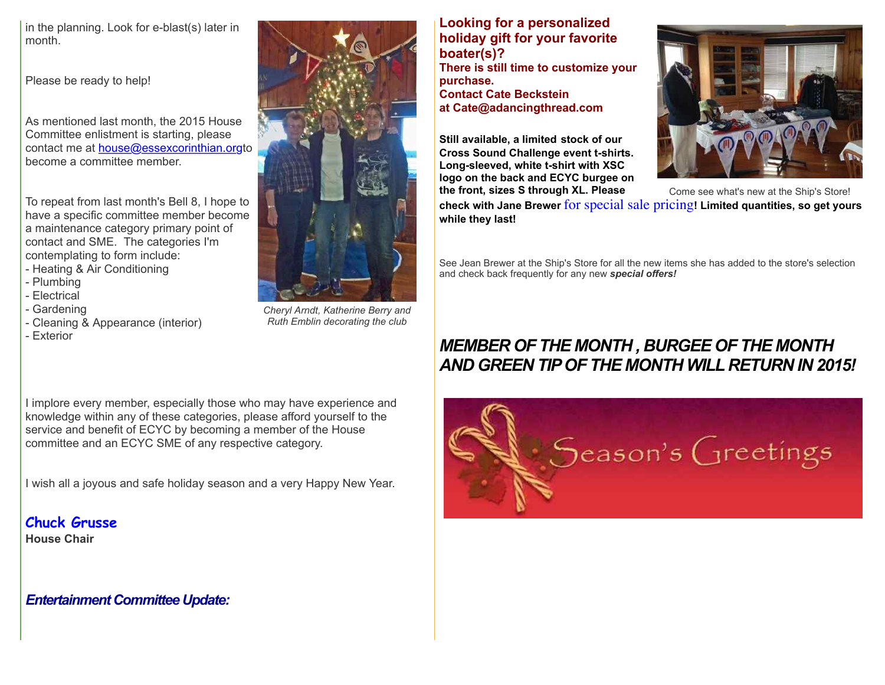in the planning. Look for e-blast(s) later in month.

Please be ready to help!

As mentioned last month, the 2015 House Committee enlistment is starting, please contact me at [house@essexcorinthian.org](mailto:house@essexcorinthian.org)to become a committee member.

To repeat from last month's Bell 8, I hope to have a specific committee member become a maintenance category primary point of contact and SME. The categories I'm contemplating to form include:

- Heating & Air Conditioning

- Plumbing
- Electrical
- Gardening
- Cleaning & Appearance (interior)
- Exterior

*Cheryl Arndt, Katherine Berry and Ruth Emblin decorating the club*

#### **Looking for a personalized holiday gift for your favorite boater(s)?**

**There is still time to customize your purchase. Contact Cate Beckstein at Cate@adancingthread.com**

**Still available, a limited stock of our Cross Sound Challenge event t-shirts. Long-sleeved, white t-shirt with XSC logo on the back and ECYC burgee on the front, sizes S through XL. Please**



Come see what's new at the Ship's Store!

**check with Jane Brewer** for special sale pricing**! Limited quantities, so get yours while they last!**

See Jean Brewer at the Ship's Store for all the new items she has added to the store's selection and check back frequently for any new *special offers!*

# *MEMBER OF THE MONTH , BURGEE OF THE MONTH AND GREEN TIP OF THE MONTH WILL RETURN IN 2015!*

I implore every member, especially those who may have experience and knowledge within any of these categories, please afford yourself to the service and benefit of ECYC by becoming a member of the House committee and an ECYC SME of any respective category.

I wish all a joyous and safe holiday season and a very Happy New Year.

**Chuck Grusse**

**House Chair**

*Entertainment Committee Update:*

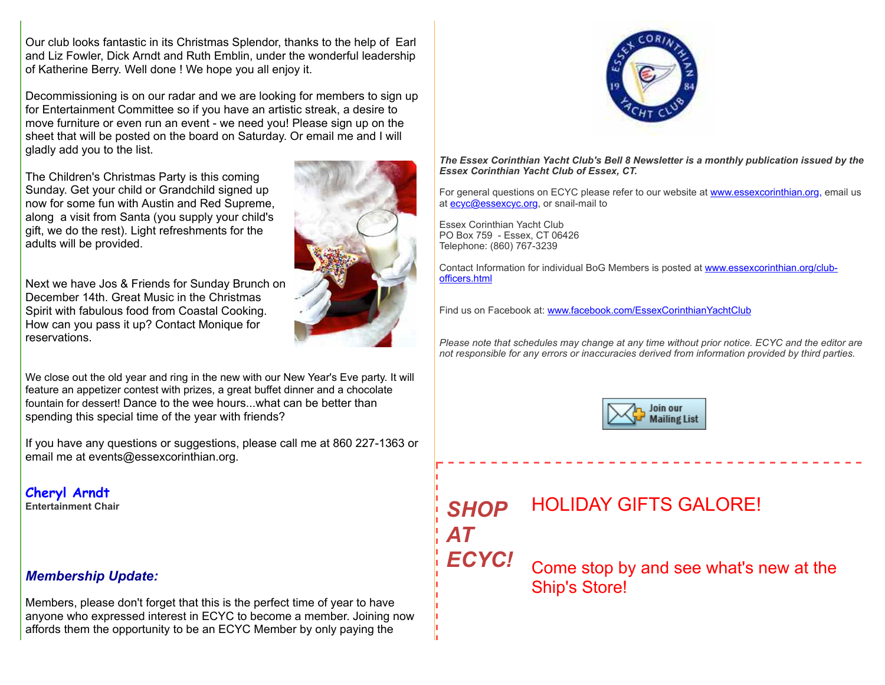Our club looks fantastic in its Christmas Splendor, thanks to the help of Earl and Liz Fowler, Dick Arndt and Ruth Emblin, under the wonderful leadership of Katherine Berry. Well done ! We hope you all enjoy it.

Decommissioning is on our radar and we are looking for members to sign up for Entertainment Committee so if you have an artistic streak, a desire to move furniture or even run an event - we need you! Please sign up on the sheet that will be posted on the board on Saturday. Or email me and I will gladly add you to the list.

The Children's Christmas Party is this coming Sunday. Get your child or Grandchild signed up now for some fun with Austin and Red Supreme, along a visit from Santa (you supply your child's gift, we do the rest). Light refreshments for the adults will be provided.

Next we have Jos & Friends for Sunday Brunch on December 14th. Great Music in the Christmas Spirit with fabulous food from Coastal Cooking. How can you pass it up? Contact Monique for reservations.

We close out the old year and ring in the new with our New Year's Eve party. It will feature an appetizer contest with prizes, a great buffet dinner and a chocolate fountain for dessert! Dance to the wee hours. what can be better than spending this special time of the year with friends?

If you have any questions or suggestions, please call me at 860 227-1363 or email me at events@essexcorinthian.org.

## **Cheryl Arndt**

**Entertainment Chair**

#### *Membership Update:*

Members, please don't forget that this is the perfect time of year to have anyone who expressed interest in ECYC to become a member. Joining now affords them the opportunity to be an ECYC Member by only paying the





*The Essex Corinthian Yacht Club's Bell 8 Newsletter is a monthly publication issued by the Essex Corinthian Yacht Club of Essex, CT.*

For general questions on ECYC please refer to our website at [www.essexcorinthian.org,](http://r20.rs6.net/tn.jsp?e=001Cfe13RSlgjkYWmUazdFKAlURKTANx8ahcpPICTlS1rMQ6lR9-tipInxqtcASJZ0kc7CInXWCcVrexyatVSRLLrNUchEnRvnBvScuEvyXozDcI3cnPFu_PQ==) email us at [ecyc@essexcyc.org,](mailto:ecyc@essexcyc.org) or snail-mail to

Essex Corinthian Yacht Club PO Box 759 - Essex, CT 06426 Telephone: (860) 767-3239

[Contact Information for individual BoG Members is posted at www.essexcorinthian.org/club](http://r20.rs6.net/tn.jsp?e=001Cfe13RSlgjkYWmUazdFKAlURKTANx8ahcpPICTlS1rMQ6lR9-tipInxqtcASJZ0kc7CInXWCcVrexyatVSRLLrNUchEnRvnBvScuEvyXozAgkDfkc0RLP-slQnC-nZy9UtSUOddOuQY=)officers.html

Find us on Facebook at: [www.facebook.com/EssexCorinthianYachtClub](http://r20.rs6.net/tn.jsp?e=001Cfe13RSlgjkYWmUazdFKAlURKTANx8ahcpPICTlS1rMQ6lR9-tipInxqtcASJZ0kc7CInXWCcVpjdj7msTjOMIuqMoTcy25VGrN-OCf9l6vxGOM86y89H_Q_mqBdYCRIfqqDFHjR5lE=)

*Please note that schedules may change at any time without prior notice. ECYC and the editor are not responsible for any errors or inaccuracies derived from information provided by third parties.*



## *SHOP AT ECYC!* HOLIDAY GIFTS GALORE! Come stop by and see what's new at the Ship's Store!